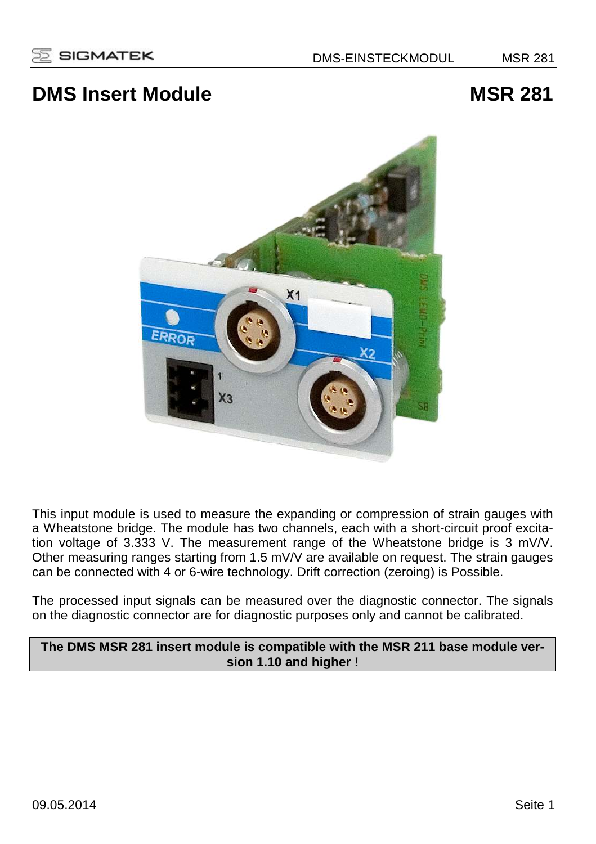# **DMS Insert Module MSR 281**



This input module is used to measure the expanding or compression of strain gauges with a Wheatstone bridge. The module has two channels, each with a short-circuit proof excitation voltage of 3.333 V. The measurement range of the Wheatstone bridge is 3 mV/V. Other measuring ranges starting from 1.5 mV/V are available on request. The strain gauges can be connected with 4 or 6-wire technology. Drift correction (zeroing) is Possible.

The processed input signals can be measured over the diagnostic connector. The signals on the diagnostic connector are for diagnostic purposes only and cannot be calibrated.

## **The DMS MSR 281 insert module is compatible with the MSR 211 base module version 1.10 and higher !**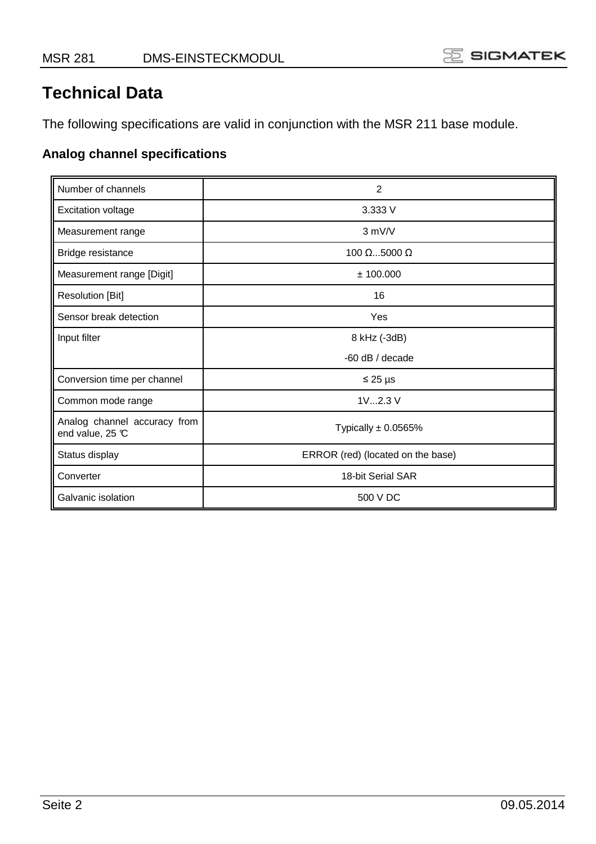# **Technical Data**

The following specifications are valid in conjunction with the MSR 211 base module.

# **Analog channel specifications**

| Number of channels                               | $\overline{2}$                    |
|--------------------------------------------------|-----------------------------------|
| <b>Excitation voltage</b>                        | 3.333 V                           |
| Measurement range                                | $3$ mV/V                          |
| Bridge resistance                                | 100 $\Omega$ 5000 $\Omega$        |
| Measurement range [Digit]                        | ± 100.000                         |
| <b>Resolution [Bit]</b>                          | 16                                |
| Sensor break detection                           | Yes                               |
| Input filter                                     | 8 kHz (-3dB)                      |
|                                                  | $-60$ dB / decade                 |
| Conversion time per channel                      | $\leq$ 25 µs                      |
| Common mode range                                | 1V2.3 V                           |
| Analog channel accuracy from<br>end value, 25 °C | Typically $\pm$ 0.0565%           |
| Status display                                   | ERROR (red) (located on the base) |
| Converter                                        | 18-bit Serial SAR                 |
| Galvanic isolation                               | 500 V DC                          |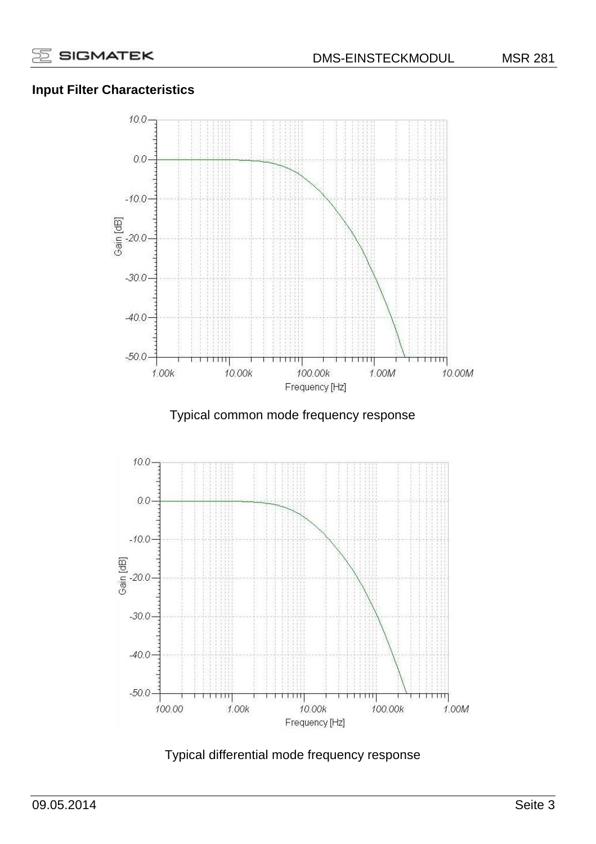# **Input Filter Characteristics**



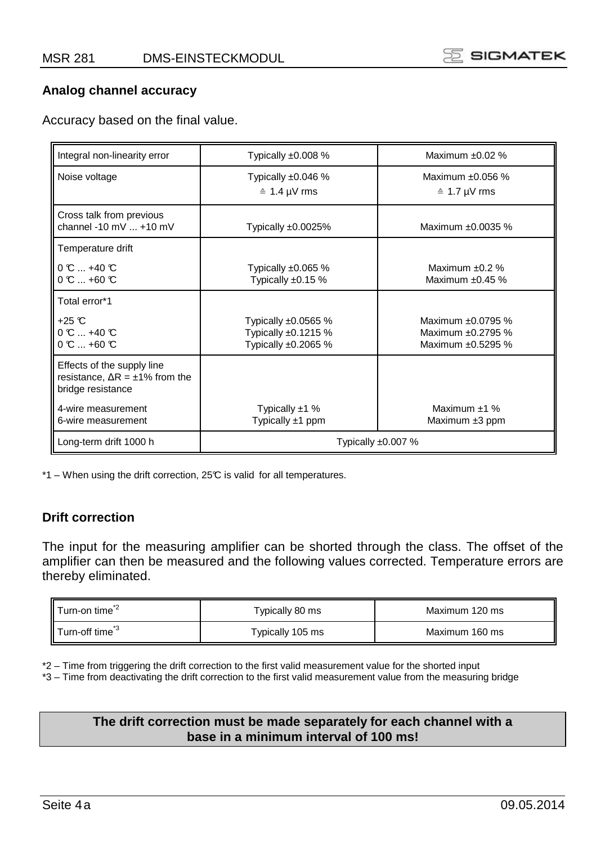

#### **Analog channel accuracy**

Accuracy based on the final value.

| Integral non-linearity error                                                                 | Typically $\pm 0.008$ %                                                  | Maximum ±0.02 %                                             |  |
|----------------------------------------------------------------------------------------------|--------------------------------------------------------------------------|-------------------------------------------------------------|--|
| Noise voltage                                                                                | Typically $\pm 0.046$ %<br>$\hat{=}$ 1.4 µV rms                          | Maximum $±0.056$ %<br>$\hat{=}$ 1.7 µV rms                  |  |
| Cross talk from previous<br>channel -10 mV  +10 mV                                           | Typically $±0.0025\%$                                                    | Maximum ±0.0035 %                                           |  |
| Temperature drift                                                                            |                                                                          |                                                             |  |
| $0 \mathcal{C}$ +40 $\mathcal{C}$<br>$0 \, \text{C}$ $\ldots$ +60 $\text{C}$                 | Typically $\pm 0.065$ %<br>Typically $±0.15%$                            | Maximum $\pm 0.2$ %<br>Maximum ±0.45 %                      |  |
| Total error*1                                                                                |                                                                          |                                                             |  |
| $+25$ °C<br>$0 \, \text{C}$ $\ldots$ +40 $\text{C}$<br>$0 \, \text{C}$ +60 $\text{C}$        | Typically $\pm 0.0565$ %<br>Typically $±0.1215%$<br>Typically $±0.2065%$ | Maximum ±0.0795 %<br>Maximum ±0.2795 %<br>Maximum ±0.5295 % |  |
| Effects of the supply line<br>resistance, $\Delta R = \pm 1\%$ from the<br>bridge resistance |                                                                          |                                                             |  |
| 4-wire measurement<br>6-wire measurement                                                     | Typically $±1$ %<br>Typically ±1 ppm                                     | Maximum $±1$ %<br>Maximum ±3 ppm                            |  |
| Long-term drift 1000 h                                                                       | Typically ±0.007 %                                                       |                                                             |  |

\*1 – When using the drift correction, 25°C is valid for all temperatures.

### **Drift correction**

The input for the measuring amplifier can be shorted through the class. The offset of the amplifier can then be measured and the following values corrected. Temperature errors are thereby eliminated.

| Turn-on time <sup>*2</sup>  | Typically 80 ms  | Maximum 120 ms |
|-----------------------------|------------------|----------------|
| Turn-off time <sup>*3</sup> | Typically 105 ms | Maximum 160 ms |

\*2 – Time from triggering the drift correction to the first valid measurement value for the shorted input

\*3 – Time from deactivating the drift correction to the first valid measurement value from the measuring bridge

### **The drift correction must be made separately for each channel with a base in a minimum interval of 100 ms!**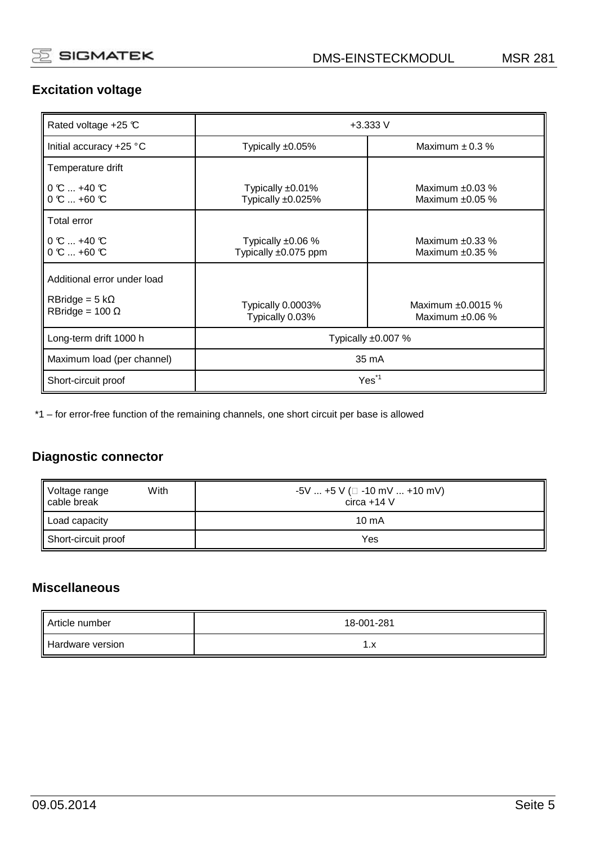# **Excitation voltage**

| Rated voltage +25 ℃                                                            | $+3.333V$                                           |                                              |
|--------------------------------------------------------------------------------|-----------------------------------------------------|----------------------------------------------|
| Initial accuracy +25 °C                                                        | Maximum $\pm$ 0.3 %<br>Typically $±0.05\%$          |                                              |
| Temperature drift                                                              |                                                     |                                              |
| $\mathsf{I}$ 0 $\mathbb{C}$ +40 $\mathbb{C}$<br>$0 \, \text{C}$ +60 $\text{C}$ | Typically $±0.01\%$<br>Typically ±0.025%            | Maximum $\pm 0.03$ %<br>Maximum $\pm 0.05$ % |
| Total error                                                                    |                                                     |                                              |
| $0 \text{ C}$ $$ +40 $\text{C}$<br>$0 \, \text{C}$ +60 $\text{C}$              | Typically $\pm 0.06$ %<br>Typically $\pm 0.075$ ppm | Maximum $\pm 0.33$ %<br>Maximum $\pm 0.35$ % |
| Additional error under load                                                    |                                                     |                                              |
| $RBridge = 5 k\Omega$<br>$RBridge = 100 \Omega$                                | Typically 0.0003%<br>Typically 0.03%                | Maximum ±0.0015 %<br>Maximum $±0.06%$        |
| Long-term drift 1000 h                                                         | Typically $\pm 0.007$ %                             |                                              |
| Maximum load (per channel)                                                     | 35 mA                                               |                                              |
| Short-circuit proof                                                            | Yes <sup>*1</sup>                                   |                                              |

\*1 – for error-free function of the remaining channels, one short circuit per base is allowed

# **Diagnostic connector**

| Voltage range<br>cable break<br>With | $-5V$ +5 V ( $\Box$ -10 mV  +10 mV)<br>$circa + 14V$ |
|--------------------------------------|------------------------------------------------------|
| Load capacity                        | $10 \text{ mA}$                                      |
| Short-circuit proof                  | Yes                                                  |

## **Miscellaneous**

| Article number   | 18-001-281 |
|------------------|------------|
| Hardware version | $\cdot$    |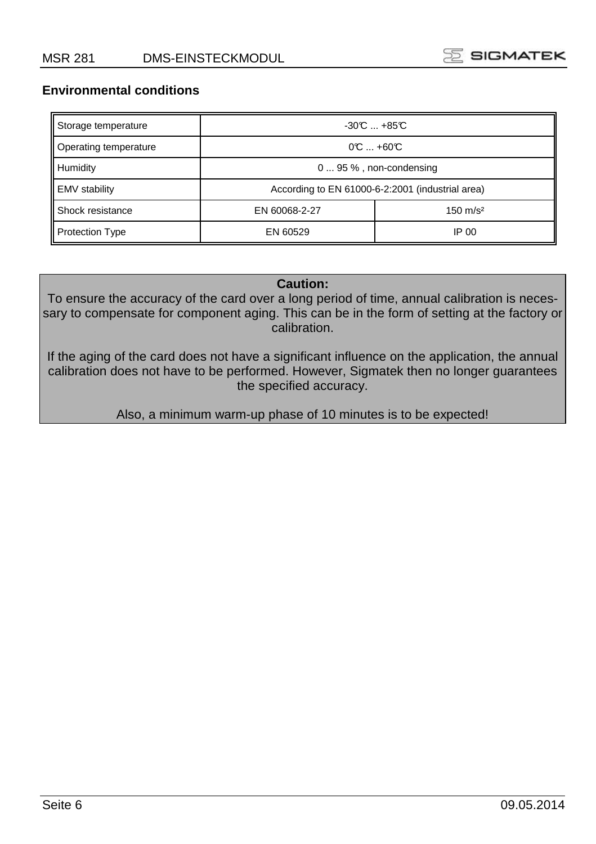

### **Environmental conditions**

| Storage temperature    | $-30C$ $+85C$                                    |       |
|------------------------|--------------------------------------------------|-------|
| Operating temperature  | $0^\circ$ $+60^\circ$                            |       |
| Humidity               | $095\%$ , non-condensing                         |       |
| <b>EMV</b> stability   | According to EN 61000-6-2:2001 (industrial area) |       |
| Shock resistance       | $150 \text{ m/s}^2$<br>EN 60068-2-27             |       |
| <b>Protection Type</b> | EN 60529                                         | IP 00 |

#### **Caution:**

To ensure the accuracy of the card over a long period of time, annual calibration is necessary to compensate for component aging. This can be in the form of setting at the factory or calibration.

If the aging of the card does not have a significant influence on the application, the annual calibration does not have to be performed. However, Sigmatek then no longer guarantees the specified accuracy.

Also, a minimum warm-up phase of 10 minutes is to be expected!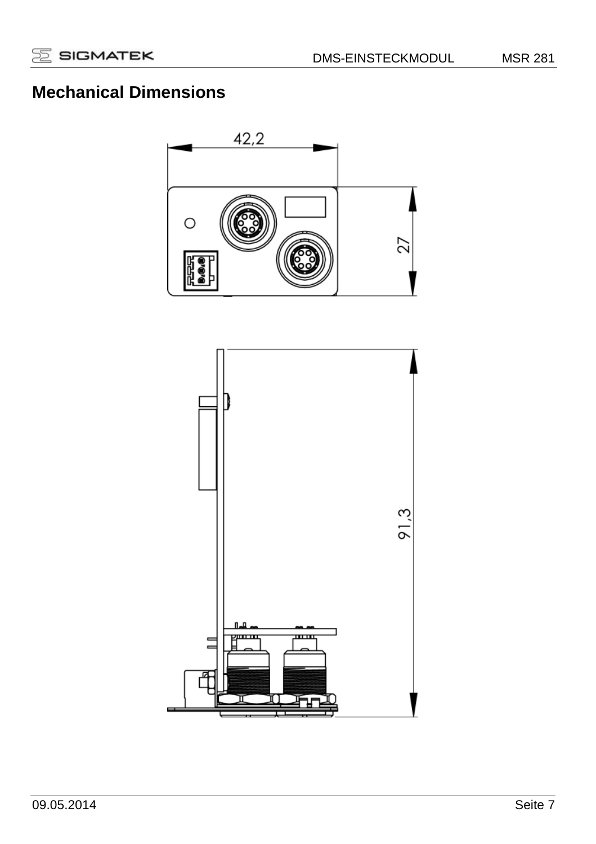# **Mechanical Dimensions**



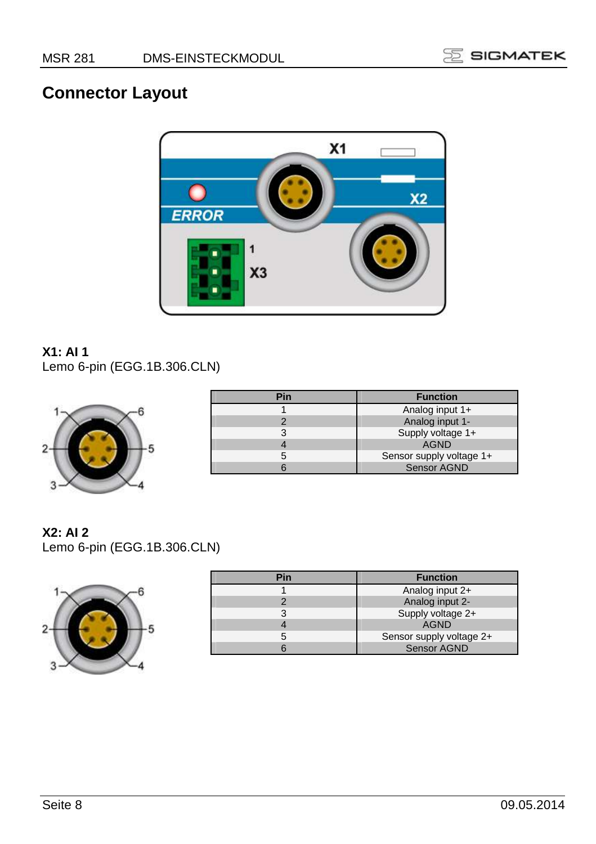

# **Connector Layout**



# **X1: AI 1**

Lemo 6-pin (EGG.1B.306.CLN)



| Pin | <b>Function</b>          |
|-----|--------------------------|
|     | Analog input 1+          |
|     | Analog input 1-          |
|     | Supply voltage 1+        |
|     | <b>AGND</b>              |
|     | Sensor supply voltage 1+ |
|     | <b>Sensor AGND</b>       |

**X2: AI 2** 

Lemo 6-pin (EGG.1B.306.CLN)



| Pin | <b>Function</b>          |
|-----|--------------------------|
|     | Analog input 2+          |
|     | Analog input 2-          |
|     | Supply voltage 2+        |
|     | <b>AGND</b>              |
|     | Sensor supply voltage 2+ |
|     | <b>Sensor AGND</b>       |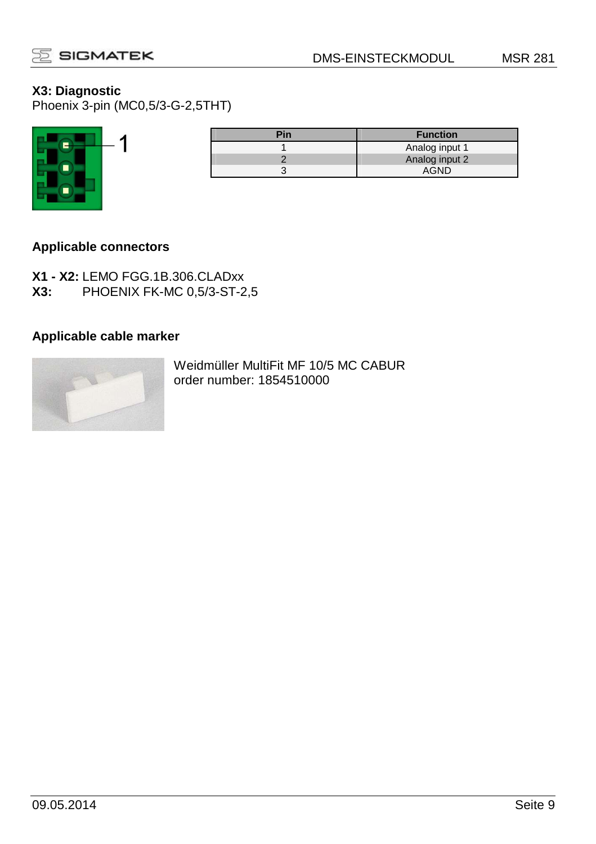

## **X3: Diagnostic**

Phoenix 3-pin (MC0,5/3-G-2,5THT)



| <b>Function</b> |
|-----------------|
| Analog input 1  |
| Analog input 2  |
| AGND            |
|                 |

## **Applicable connectors**

**X1 - X2:** LEMO FGG.1B.306.CLADxx **X3:** PHOENIX FK-MC 0,5/3-ST-2,5

# **Applicable cable marker**



Weidmüller MultiFit MF 10/5 MC CABUR order number: 1854510000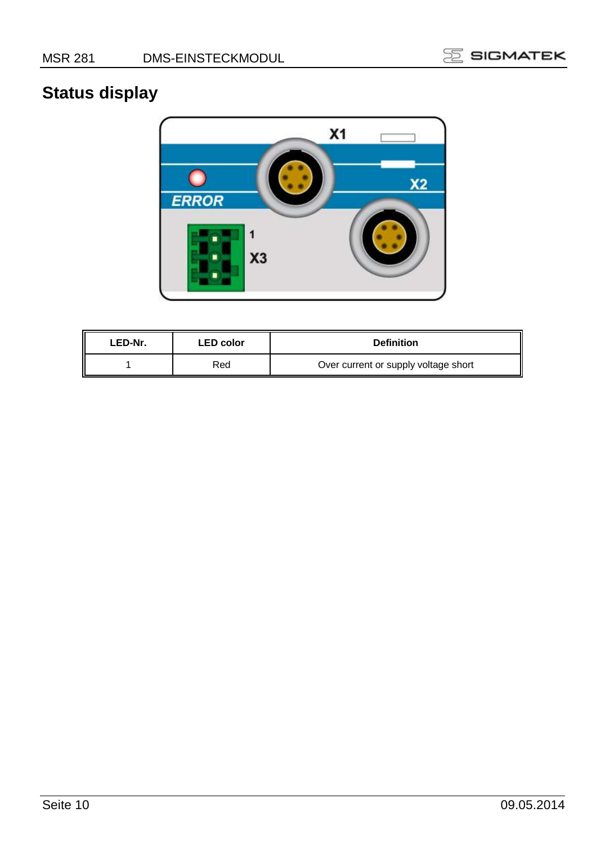

# **Status display**



| LED-Nr. | <b>LED</b> color | <b>Definition</b>                    |
|---------|------------------|--------------------------------------|
|         | Red              | Over current or supply voltage short |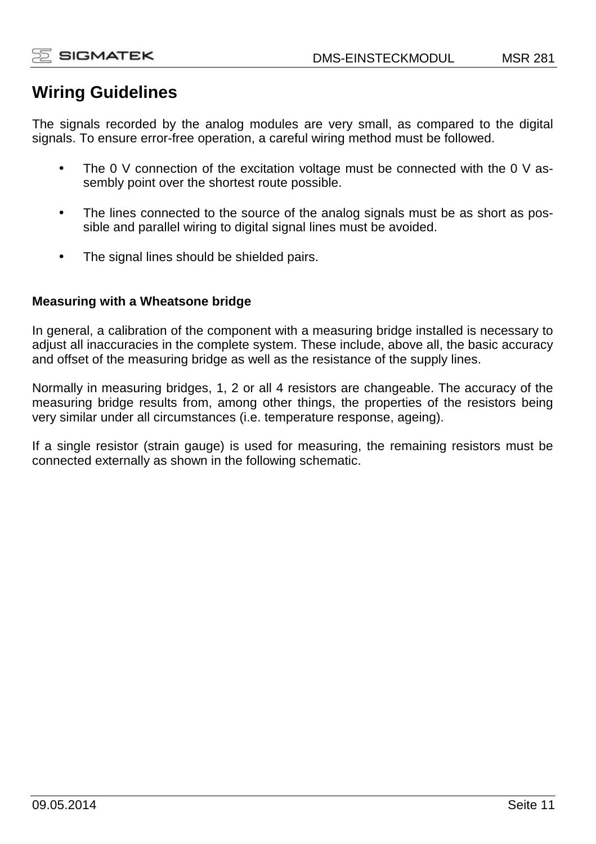# **Wiring Guidelines**

The signals recorded by the analog modules are very small, as compared to the digital signals. To ensure error-free operation, a careful wiring method must be followed.

- The 0 V connection of the excitation voltage must be connected with the 0 V assembly point over the shortest route possible.
- The lines connected to the source of the analog signals must be as short as possible and parallel wiring to digital signal lines must be avoided.
- The signal lines should be shielded pairs.

## **Measuring with a Wheatsone bridge**

In general, a calibration of the component with a measuring bridge installed is necessary to adjust all inaccuracies in the complete system. These include, above all, the basic accuracy and offset of the measuring bridge as well as the resistance of the supply lines.

Normally in measuring bridges, 1, 2 or all 4 resistors are changeable. The accuracy of the measuring bridge results from, among other things, the properties of the resistors being very similar under all circumstances (i.e. temperature response, ageing).

If a single resistor (strain gauge) is used for measuring, the remaining resistors must be connected externally as shown in the following schematic.